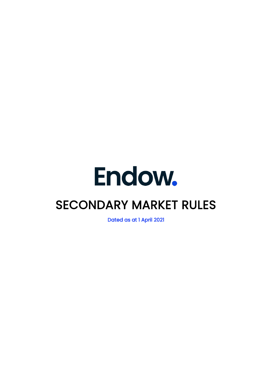# Endow.

# SECONDARY MARKET RULES

Dated as at 1 April 2021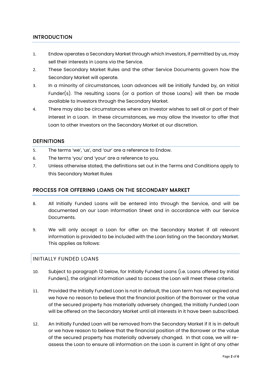## INTRODUCTION

- 1. Endow operates a Secondary Market through which Investors, if permitted by us, may sell their interests in Loans via the Service.
- 2. These Secondary Market Rules and the other Service Documents govern how the Secondary Market will operate.
- 3. In a minority of circumstances, Loan advances will be initially funded by, an Initial Funder(s). The resulting Loans (or a portion of those Loans) will then be made available to Investors through the Secondary Market.
- 4. There may also be circumstances where an Investor wishes to sell all or part of their interest in a Loan. In these circumstances, we may allow the Investor to offer that Loan to other Investors on the Secondary Market at our discretion.

#### **DEFINITIONS**

- 5. The terms 'we', 'us', and 'our' are a reference to Endow.
- 6. The terms 'you' and 'your' are a reference to you.
- 7. Unless otherwise stated, the definitions set out in the Terms and Conditions apply to this Secondary Market Rules

#### PROCESS FOR OFFERING LOANS ON THE SECONDARY MARKET

- 8. All Initially Funded Loans will be entered into through the Service, and will be documented on our Loan Information Sheet and in accordance with our Service **Documents**
- 9. We will only accept a Loan for offer on the Secondary Market if all relevant information is provided to be included with the Loan listing on the Secondary Market. This applies as follows:

#### INITIALLY FUNDED LOANS

- 10. Subject to paragraph 12 below, for Initially Funded Loans (i.e. Loans offered by Initial Funders), the original information used to access the Loan will meet these criteria.
- 11. Provided the Initially Funded Loan is not in default, the Loan term has not expired and we have no reason to believe that the financial position of the Borrower or the value of the secured property has materially adversely changed, the Initially Funded Loan will be offered on the Secondary Market until all interests in it have been subscribed.
- 12. An Initially Funded Loan will be removed from the Secondary Market if it is in default or we have reason to believe that the financial position of the Borrower or the value of the secured property has materially adversely changed. In that case, we will reassess the Loan to ensure all information on the Loan is current in light of any other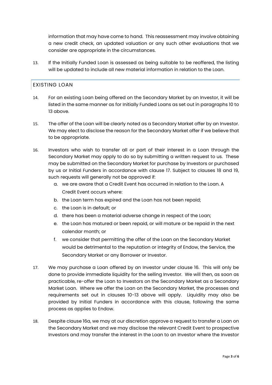information that may have come to hand. This reassessment may involve obtaining a new credit check, an updated valuation or any such other evaluations that we consider are appropriate in the circumstances.

13. If the Initially Funded Loan is assessed as being suitable to be reoffered, the listing will be updated to include all new material information in relation to the Loan.

#### EXISTING LOAN

- 14. For an existing Loan being offered on the Secondary Market by an Investor, it will be listed in the same manner as for Initially Funded Loans as set out in paragraphs 10 to 13 above.
- 15. The offer of the Loan will be clearly noted as a Secondary Market offer by an Investor. We may elect to disclose the reason for the Secondary Market offer if we believe that to be appropriate.
- 16. Investors who wish to transfer all or part of their interest in a Loan through the Secondary Market may apply to do so by submitting a written request to us. These may be submitted on the Secondary Market for purchase by Investors or purchased by us or Initial Funders in accordance with clause 17. Subject to clauses 18 and 19, such requests will generally not be approved if:
	- a. we are aware that a Credit Event has occurred in relation to the Loan. A Credit Event occurs where:
	- b. the Loan term has expired and the Loan has not been repaid;
	- c. the Loan is in default; or
	- d. there has been a material adverse change in respect of the Loan;
	- e. the Loan has matured or been repaid, or will mature or be repaid in the next calendar month; or
	- f. we consider that permitting the offer of the Loan on the Secondary Market would be detrimental to the reputation or integrity of Endow, the Service, the Secondary Market or any Borrower or Investor.
- <span id="page-2-0"></span>17. We may purchase a Loan offered by an Investor under clause 16. This will only be done to provide immediate liquidity for the selling Investor. We will then, as soon as practicable, re-offer the Loan to Investors on the Secondary Market as a Secondary Market Loan. Where we offer the Loan on the Secondary Market, the processes and requirements set out in clauses 10-13 above will apply. Liquidity may also be provided by Initial Funders in accordance with this clause, following the same process as applies to Endow.
- 18. Despite clause 16a, we may at our discretion approve a request to transfer a Loan on the Secondary Market and we may disclose the relevant Credit Event to prospective Investors and may transfer the interest in the Loan to an Investor where the Investor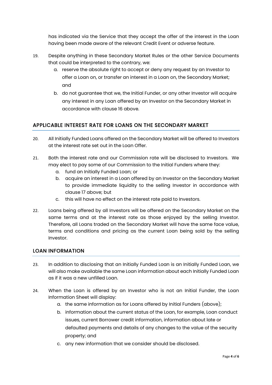has indicated via the Service that they accept the offer of the interest in the Loan having been made aware of the relevant Credit Event or adverse feature.

- 19. Despite anything in these Secondary Market Rules or the other Service Documents that could be interpreted to the contrary, we:
	- a. reserve the absolute right to accept or deny any request by an Investor to offer a Loan on, or transfer an interest in a Loan on, the Secondary Market; and
	- b. do not guarantee that we, the Initial Funder, or any other Investor will acquire any interest in any Loan offered by an Investor on the Secondary Market in accordance with clause 16 above.

# APPLICABLE INTEREST RATE FOR LOANS ON THE SECONDARY MARKET

- 20. All Initially Funded Loans offered on the Secondary Market will be offered to Investors at the interest rate set out in the Loan Offer.
- 21. Both the interest rate and our Commission rate will be disclosed to Investors. We may elect to pay some of our Commission to the Initial Funders where they:
	- a. fund an Initially Funded Loan; or
	- b. acquire an interest in a Loan offered by an Investor on the Secondary Market to provide immediate liquidity to the selling Investor in accordance with clause [17](#page-2-0) above; but
	- c. this will have no effect on the interest rate paid to Investors.
- 22. Loans being offered by all Investors will be offered on the Secondary Market on the same terms and at the interest rate as those enjoyed by the selling Investor. Therefore, all Loans traded on the Secondary Market will have the same face value, terms and conditions and pricing as the current Loan being sold by the selling Investor.

#### LOAN INFORMATION

- 23. In addition to disclosing that an Initially Funded Loan is an Initially Funded Loan, we will also make available the same Loan information about each Initially Funded Loan as if it was a new unfilled Loan.
- 24. When the Loan is offered by an Investor who is not an Initial Funder, the Loan Information Sheet will display:
	- a. the same information as for Loans offered by Initial Funders (above);
	- b. information about the current status of the Loan, for example, Loan conduct issues, current Borrower credit information, information about late or defaulted payments and details of any changes to the value of the security property; and
	- c. any new information that we consider should be disclosed.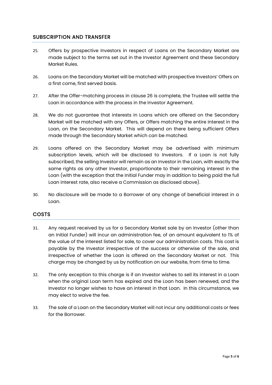#### SUBSCRIPTION AND TRANSFER

- 25. Offers by prospective Investors in respect of Loans on the Secondary Market are made subject to the terms set out in the Investor Agreement and these Secondary Market Rules.
- 26. Loans on the Secondary Market will be matched with prospective Investors' Offers on a first come, first served basis.
- 27. After the Offer-matching process in clause 26 is complete, the Trustee will settle the Loan in accordance with the process in the Investor Agreement.
- 28. We do not guarantee that interests in Loans which are offered on the Secondary Market will be matched with any Offers, or Offers matching the entire interest in the Loan, on the Secondary Market. This will depend on there being sufficient Offers made through the Secondary Market which can be matched.
- 29. Loans offered on the Secondary Market may be advertised with minimum subscription levels, which will be disclosed to Investors. If a Loan is not fully subscribed, the selling Investor will remain as an Investor in the Loan, with exactly the same rights as any other Investor, proportionate to their remaining interest in the Loan (with the exception that the Initial Funder may in addition to being paid the full Loan interest rate, also receive a Commission as disclosed above).
- 30. No disclosure will be made to a Borrower of any change of beneficial interest in a Loan.

#### COSTS

- 31. Any request received by us for a Secondary Market sale by an Investor (other than an Initial Funder) will incur an administration fee, of an amount equivalent to 1% of the value of the interest listed for sale, to cover our administration costs. This cost is payable by the Investor irrespective of the success or otherwise of the sale, and irrespective of whether the Loan is offered on the Secondary Market or not. This charge may be changed by us by notification on our website, from time to time.
- 32. The only exception to this charge is if an Investor wishes to sell its interest in a Loan when the original Loan term has expired and the Loan has been renewed, and the Investor no longer wishes to have an interest in that Loan. In this circumstance, we may elect to waive the fee.
- 33. The sale of a Loan on the Secondary Market will not incur any additional costs or fees for the Borrower.